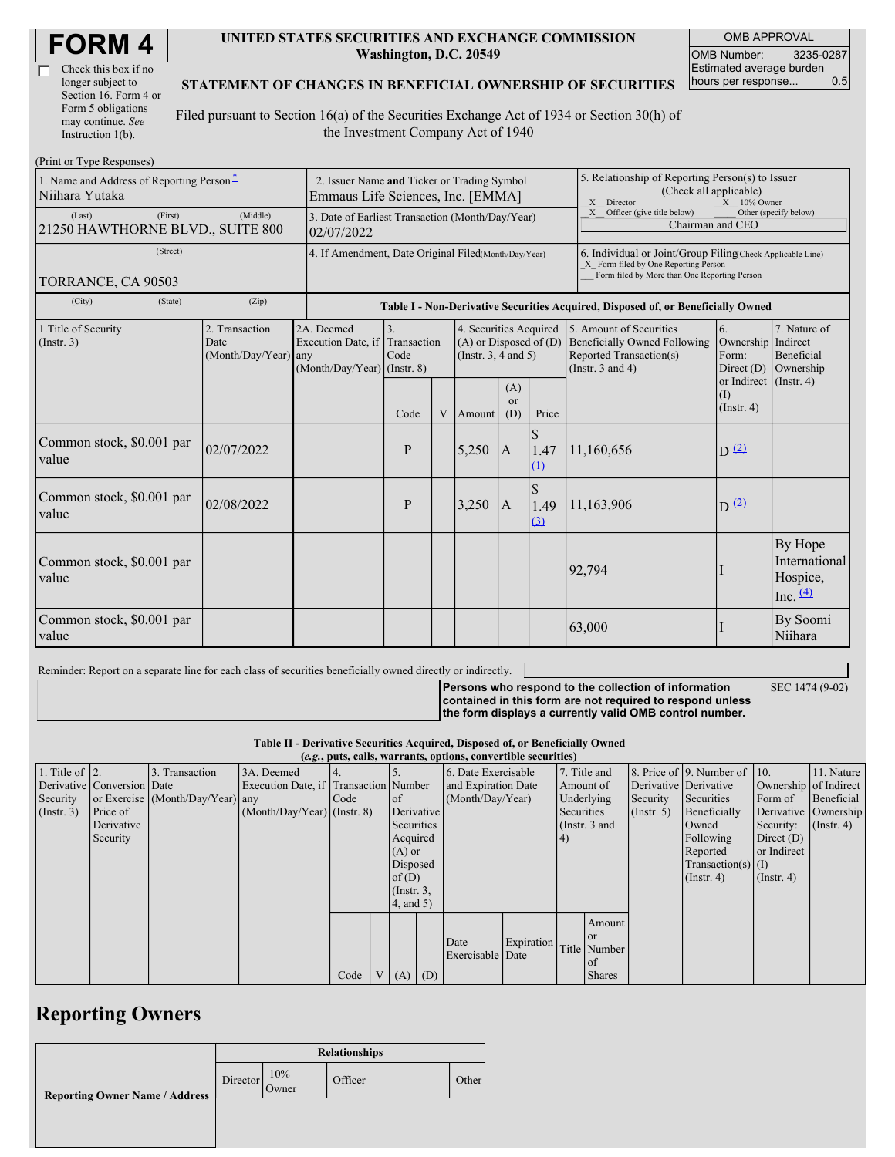| <b>FORM4</b> |
|--------------|
|--------------|

| Check this box if no  |  |
|-----------------------|--|
| longer subject to     |  |
| Section 16. Form 4 or |  |
| Form 5 obligations    |  |
| may continue. See     |  |
| Instruction 1(b).     |  |

#### **UNITED STATES SECURITIES AND EXCHANGE COMMISSION Washington, D.C. 20549**

OMB APPROVAL OMB Number: 3235-0287 Estimated average burden hours per response... 0.5

#### **STATEMENT OF CHANGES IN BENEFICIAL OWNERSHIP OF SECURITIES**

Filed pursuant to Section 16(a) of the Securities Exchange Act of 1934 or Section 30(h) of the Investment Company Act of 1940

| (Print or Type Responses)                                  |                                                                                  |                                                                               |                          |   |                                                                                  |                                                                                  |                                                                                                                                                    |                                                                                                                                                                         |                                                   |                                                    |  |  |
|------------------------------------------------------------|----------------------------------------------------------------------------------|-------------------------------------------------------------------------------|--------------------------|---|----------------------------------------------------------------------------------|----------------------------------------------------------------------------------|----------------------------------------------------------------------------------------------------------------------------------------------------|-------------------------------------------------------------------------------------------------------------------------------------------------------------------------|---------------------------------------------------|----------------------------------------------------|--|--|
| 1. Name and Address of Reporting Person*<br>Niihara Yutaka | 2. Issuer Name and Ticker or Trading Symbol<br>Emmaus Life Sciences, Inc. [EMMA] |                                                                               |                          |   |                                                                                  |                                                                                  | 5. Relationship of Reporting Person(s) to Issuer<br>(Check all applicable)<br>X Director<br>$X = 10\%$ Owner                                       |                                                                                                                                                                         |                                                   |                                                    |  |  |
| (First)<br>(Last)<br>21250 HAWTHORNE BLVD., SUITE 800      | 3. Date of Earliest Transaction (Month/Day/Year)<br>02/07/2022                   |                                                                               |                          |   |                                                                                  |                                                                                  | X Officer (give title below)<br>Other (specify below)<br>Chairman and CEO                                                                          |                                                                                                                                                                         |                                                   |                                                    |  |  |
| (Street)<br>TORRANCE, CA 90503                             | 4. If Amendment, Date Original Filed(Month/Day/Year)                             |                                                                               |                          |   |                                                                                  |                                                                                  | 6. Individual or Joint/Group Filing(Check Applicable Line)<br>X Form filed by One Reporting Person<br>Form filed by More than One Reporting Person |                                                                                                                                                                         |                                                   |                                                    |  |  |
| (City)<br>(State)                                          | (Zip)                                                                            |                                                                               |                          |   |                                                                                  | Table I - Non-Derivative Securities Acquired, Disposed of, or Beneficially Owned |                                                                                                                                                    |                                                                                                                                                                         |                                                   |                                                    |  |  |
| 1. Title of Security<br>(Insert. 3)                        | 2. Transaction<br>Date<br>(Month/Day/Year) any                                   | 2A. Deemed<br>Execution Date, if Transaction<br>$(Month/Day/Year)$ (Instr. 8) | $\overline{3}$ .<br>Code |   | 4. Securities Acquired<br>$(A)$ or Disposed of $(D)$<br>(Instr. $3, 4$ and $5$ ) |                                                                                  |                                                                                                                                                    | 5. Amount of Securities<br>6.<br><b>Beneficially Owned Following</b><br>Ownership Indirect<br>Reported Transaction(s)<br>Form:<br>(Instr. $3$ and $4$ )<br>Direct $(D)$ |                                                   | 7. Nature of<br>Beneficial<br>Ownership            |  |  |
|                                                            |                                                                                  |                                                                               | Code                     | V | Amount                                                                           | (A)<br>$\alpha$<br>(D)                                                           | Price                                                                                                                                              |                                                                                                                                                                         | or Indirect (Instr. 4)<br>(I)<br>$($ Instr. 4 $)$ |                                                    |  |  |
| Common stock, \$0.001 par<br>value                         | 02/07/2022                                                                       |                                                                               | P                        |   | 5,250                                                                            | $\mathbf{A}$                                                                     | $\mathcal{S}$<br>1.47<br>$\Omega$                                                                                                                  | 11,160,656                                                                                                                                                              | $D^{(2)}$                                         |                                                    |  |  |
| Common stock, \$0.001 par<br>value                         | 02/08/2022                                                                       |                                                                               | P                        |   | 3,250                                                                            | $\mathbf{A}$                                                                     | $\mathbb{S}$<br>1.49<br>$\Omega$                                                                                                                   | 11,163,906                                                                                                                                                              | $D^{(2)}$                                         |                                                    |  |  |
| Common stock, \$0.001 par<br>value                         |                                                                                  |                                                                               |                          |   |                                                                                  |                                                                                  |                                                                                                                                                    | 92,794                                                                                                                                                                  |                                                   | By Hope<br>International<br>Hospice,<br>Inc. $(4)$ |  |  |
| Common stock, \$0.001 par<br>value                         |                                                                                  |                                                                               |                          |   |                                                                                  |                                                                                  |                                                                                                                                                    | 63,000                                                                                                                                                                  |                                                   | By Soomi<br>Niihara                                |  |  |

Reminder: Report on a separate line for each class of securities beneficially owned directly or indirectly.

**Persons who respond to the collection of information**

SEC 1474 (9-02)

**contained in this form are not required to respond unless the form displays a currently valid OMB control number.**

**Table II - Derivative Securities Acquired, Disposed of, or Beneficially Owned**

|                        | (e.g., puts, calls, warrants, options, convertible securities) |                                  |                                       |      |  |                 |            |                     |            |                 |               |              |                              |                       |                  |
|------------------------|----------------------------------------------------------------|----------------------------------|---------------------------------------|------|--|-----------------|------------|---------------------|------------|-----------------|---------------|--------------|------------------------------|-----------------------|------------------|
| 1. Title of $\vert$ 2. |                                                                | 3. Transaction                   | 3A. Deemed                            |      |  |                 |            | 6. Date Exercisable |            |                 | 7. Title and  |              | 8. Price of 9. Number of 10. |                       | 11. Nature       |
|                        | Derivative Conversion Date                                     |                                  | Execution Date, if Transaction Number |      |  |                 |            | and Expiration Date |            |                 | Amount of     |              | Derivative Derivative        | Ownership of Indirect |                  |
| Security               |                                                                | or Exercise (Month/Day/Year) any |                                       | Code |  | <sub>of</sub>   |            | (Month/Day/Year)    |            | Underlying      |               | Security     | Securities                   | Form of               | Beneficial       |
| $($ Instr. 3 $)$       | Price of                                                       |                                  | $(Month/Day/Year)$ (Instr. 8)         |      |  |                 | Derivative |                     | Securities |                 | (Insert. 5)   | Beneficially |                              | Derivative Ownership  |                  |
|                        | Derivative                                                     |                                  |                                       |      |  | Securities      |            |                     |            | (Instr. $3$ and |               |              | Owned                        | Security:             | $($ Instr. 4 $)$ |
|                        | Security                                                       |                                  |                                       |      |  | Acquired        |            |                     |            | $\vert 4)$      |               |              | Following                    | Direct $(D)$          |                  |
|                        |                                                                |                                  |                                       |      |  | $(A)$ or        |            |                     |            |                 |               |              | Reported                     | or Indirect           |                  |
|                        |                                                                |                                  |                                       |      |  | Disposed        |            |                     |            |                 |               |              | $Transaction(s)$ (I)         |                       |                  |
|                        |                                                                |                                  |                                       |      |  | of $(D)$        |            |                     |            |                 |               |              | $($ Instr. 4 $)$             | $($ Instr. 4 $)$      |                  |
|                        |                                                                |                                  |                                       |      |  | $($ Instr. $3,$ |            |                     |            |                 |               |              |                              |                       |                  |
|                        |                                                                |                                  |                                       |      |  | $4$ , and $5$ ) |            |                     |            |                 |               |              |                              |                       |                  |
|                        |                                                                |                                  |                                       |      |  |                 |            |                     |            |                 | Amount        |              |                              |                       |                  |
|                        |                                                                |                                  |                                       |      |  |                 |            |                     |            |                 | or            |              |                              |                       |                  |
|                        |                                                                |                                  |                                       |      |  |                 |            | Date                | Expiration |                 | Title Number  |              |                              |                       |                  |
|                        |                                                                |                                  |                                       |      |  |                 |            | Exercisable Date    |            |                 | of            |              |                              |                       |                  |
|                        |                                                                |                                  |                                       | Code |  | $V(A)$ (D)      |            |                     |            |                 | <b>Shares</b> |              |                              |                       |                  |

## **Reporting Owners**

|                                       | <b>Relationships</b> |              |         |       |  |  |  |  |  |
|---------------------------------------|----------------------|--------------|---------|-------|--|--|--|--|--|
| <b>Reporting Owner Name / Address</b> | Director             | 10%<br>Owner | Officer | Other |  |  |  |  |  |
|                                       |                      |              |         |       |  |  |  |  |  |